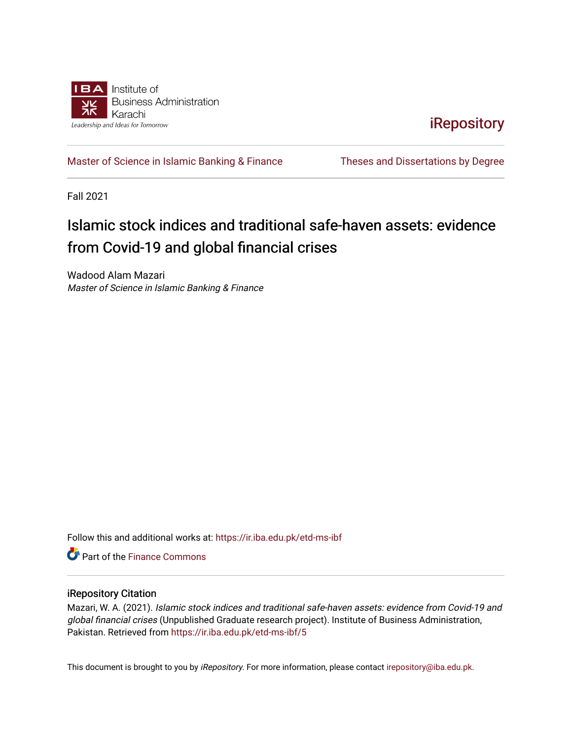

**iRepository** 

[Master of Science in Islamic Banking & Finance](https://ir.iba.edu.pk/etd-ms-ibf) Theses and Dissertations by Degree

Fall 2021

# Islamic stock indices and traditional safe-haven assets: evidence from Covid-19 and global financial crises

Wadood Alam Mazari Master of Science in Islamic Banking & Finance

Follow this and additional works at: [https://ir.iba.edu.pk/etd-ms-ibf](https://ir.iba.edu.pk/etd-ms-ibf?utm_source=ir.iba.edu.pk%2Fetd-ms-ibf%2F5&utm_medium=PDF&utm_campaign=PDFCoverPages)

**C** Part of the Finance Commons

#### iRepository Citation

Mazari, W. A. (2021). Islamic stock indices and traditional safe-haven assets: evidence from Covid-19 and global financial crises (Unpublished Graduate research project). Institute of Business Administration, Pakistan. Retrieved from [https://ir.iba.edu.pk/etd-ms-ibf/5](https://ir.iba.edu.pk/etd-ms-ibf/5?utm_source=ir.iba.edu.pk%2Fetd-ms-ibf%2F5&utm_medium=PDF&utm_campaign=PDFCoverPages)

This document is brought to you by iRepository. For more information, please contact [irepository@iba.edu.pk](mailto:irepository@iba.edu.pk).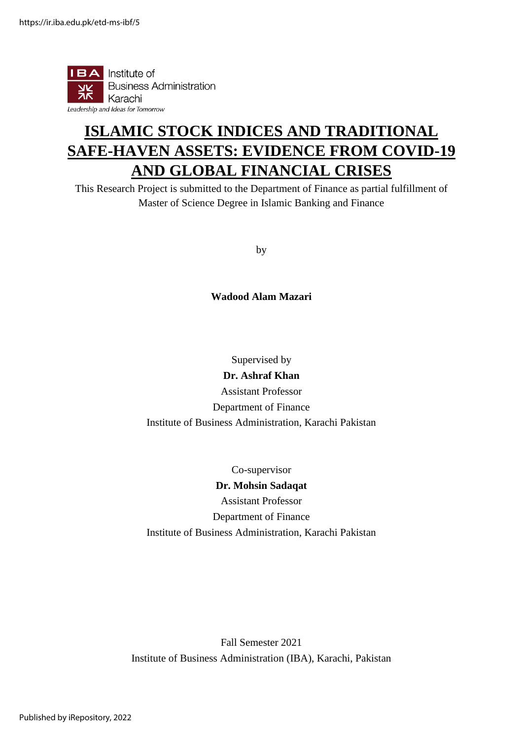

# **ISLAMIC STOCK INDICES AND TRADITIONAL SAFE-HAVEN ASSETS: EVIDENCE FROM COVID-19 AND GLOBAL FINANCIAL CRISES**

This Research Project is submitted to the Department of Finance as partial fulfillment of Master of Science Degree in Islamic Banking and Finance

by

**Wadood Alam Mazari**

Supervised by **Dr. Ashraf Khan** Assistant Professor Department of Finance Institute of Business Administration, Karachi Pakistan

Co-supervisor **Dr. Mohsin Sadaqat** Assistant Professor Department of Finance Institute of Business Administration, Karachi Pakistan

Fall Semester 2021 Institute of Business Administration (IBA), Karachi, Pakistan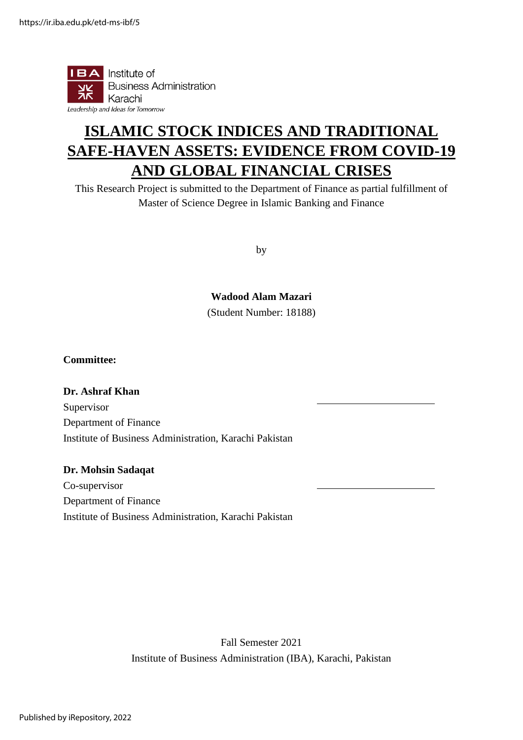

# **ISLAMIC STOCK INDICES AND TRADITIONAL SAFE-HAVEN ASSETS: EVIDENCE FROM COVID-19 AND GLOBAL FINANCIAL CRISES**

This Research Project is submitted to the Department of Finance as partial fulfillment of Master of Science Degree in Islamic Banking and Finance

by

**Wadood Alam Mazari**

(Student Number: 18188)

#### **Committee:**

**Dr. Ashraf Khan** Supervisor Department of Finance Institute of Business Administration, Karachi Pakistan

#### **Dr. Mohsin Sadaqat**

Co-supervisor Department of Finance Institute of Business Administration, Karachi Pakistan

> Fall Semester 2021 Institute of Business Administration (IBA), Karachi, Pakistan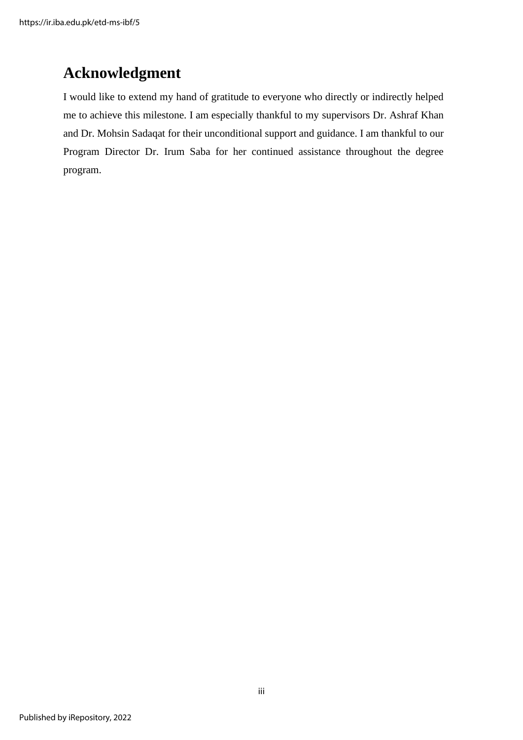### **Acknowledgment**

I would like to extend my hand of gratitude to everyone who directly or indirectly helped me to achieve this milestone. I am especially thankful to my supervisors Dr. Ashraf Khan and Dr. Mohsin Sadaqat for their unconditional support and guidance. I am thankful to our Program Director Dr. Irum Saba for her continued assistance throughout the degree program.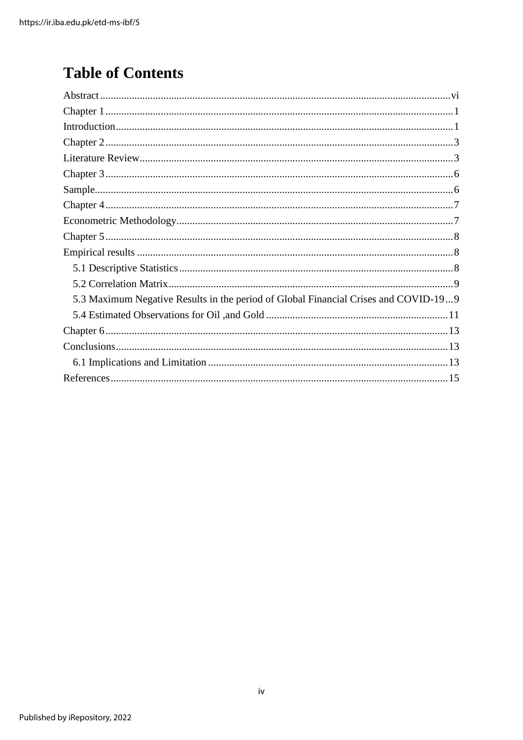# **Table of Contents**

| 5.3 Maximum Negative Results in the period of Global Financial Crises and COVID-199 |
|-------------------------------------------------------------------------------------|
|                                                                                     |
|                                                                                     |
|                                                                                     |
|                                                                                     |
|                                                                                     |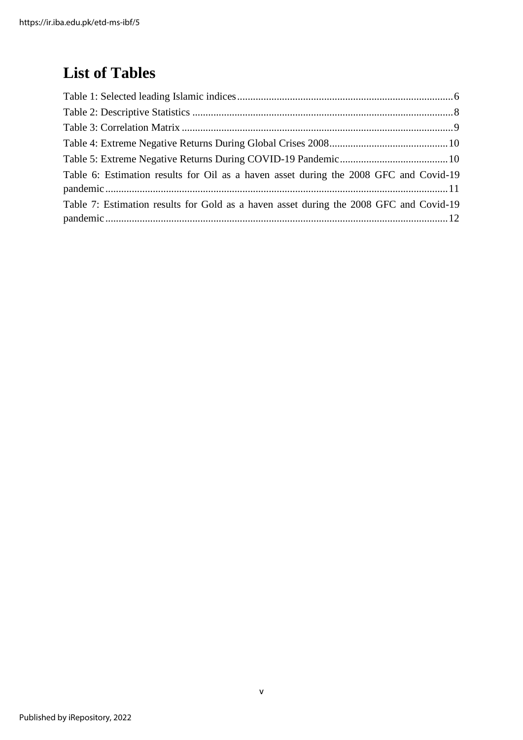## **List of Tables**

| Table 6: Estimation results for Oil as a haven asset during the 2008 GFC and Covid-19  |  |
|----------------------------------------------------------------------------------------|--|
|                                                                                        |  |
| Table 7: Estimation results for Gold as a haven asset during the 2008 GFC and Covid-19 |  |
|                                                                                        |  |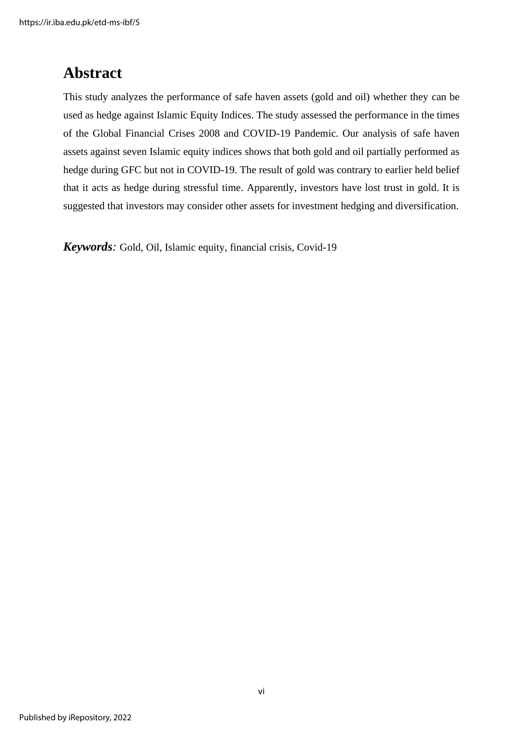### <span id="page-6-0"></span>**Abstract**

This study analyzes the performance of safe haven assets (gold and oil) whether they can be used as hedge against Islamic Equity Indices. The study assessed the performance in the times of the Global Financial Crises 2008 and COVID-19 Pandemic. Our analysis of safe haven assets against seven Islamic equity indices shows that both gold and oil partially performed as hedge during GFC but not in COVID-19. The result of gold was contrary to earlier held belief that it acts as hedge during stressful time. Apparently, investors have lost trust in gold. It is suggested that investors may consider other assets for investment hedging and diversification.

*Keywords:* Gold, Oil, Islamic equity, financial crisis, Covid-19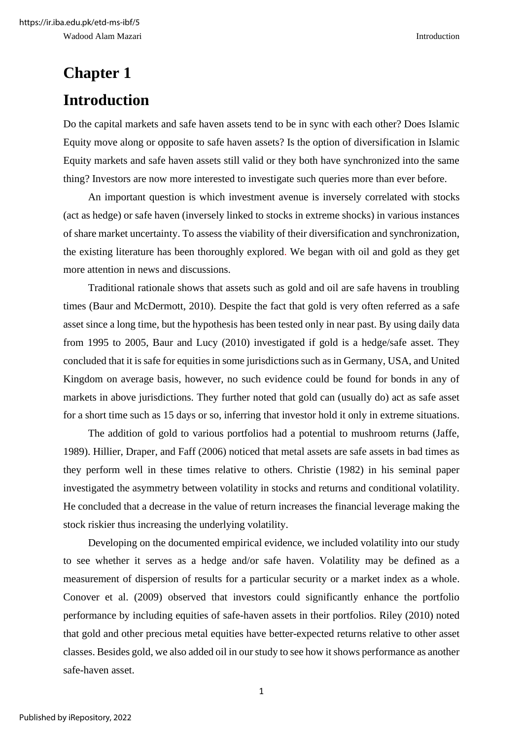# <span id="page-7-1"></span><span id="page-7-0"></span>**Chapter 1 Introduction**

Do the capital markets and safe haven assets tend to be in sync with each other? Does Islamic Equity move along or opposite to safe haven assets? Is the option of diversification in Islamic Equity markets and safe haven assets still valid or they both have synchronized into the same thing? Investors are now more interested to investigate such queries more than ever before.

An important question is which investment avenue is inversely correlated with stocks (act as hedge) or safe haven (inversely linked to stocks in extreme shocks) in various instances of share market uncertainty. To assess the viability of their diversification and synchronization, the existing literature has been thoroughly explored. We began with oil and gold as they get more attention in news and discussions.

Traditional rationale shows that assets such as gold and oil are safe havens in troubling times (Baur and McDermott, 2010). Despite the fact that gold is very often referred as a safe asset since a long time, but the hypothesis has been tested only in near past. By using daily data from 1995 to 2005, Baur and Lucy (2010) investigated if gold is a hedge/safe asset. They concluded that it is safe for equities in some jurisdictions such as in Germany, USA, and United Kingdom on average basis, however, no such evidence could be found for bonds in any of markets in above jurisdictions. They further noted that gold can (usually do) act as safe asset for a short time such as 15 days or so, inferring that investor hold it only in extreme situations.

The addition of gold to various portfolios had a potential to mushroom returns (Jaffe, 1989). Hillier, Draper, and Faff (2006) noticed that metal assets are safe assets in bad times as they perform well in these times relative to others. Christie (1982) in his seminal paper investigated the asymmetry between volatility in stocks and returns and conditional volatility. He concluded that a decrease in the value of return increases the financial leverage making the stock riskier thus increasing the underlying volatility.

Developing on the documented empirical evidence, we included volatility into our study to see whether it serves as a hedge and/or safe haven. Volatility may be defined as a measurement of dispersion of results for a particular security or a market index as a whole. Conover et al. (2009) observed that investors could significantly enhance the portfolio performance by including equities of safe-haven assets in their portfolios. Riley (2010) noted that gold and other precious metal equities have better-expected returns relative to other asset classes. Besides gold, we also added oil in our study to see how it shows performance as another safe-haven asset.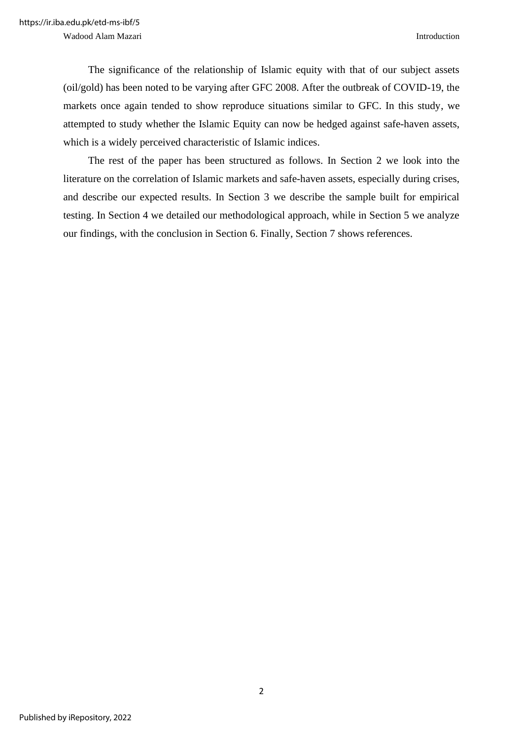Wadood Alam Mazari **Introduction** 

The significance of the relationship of Islamic equity with that of our subject assets (oil/gold) has been noted to be varying after GFC 2008. After the outbreak of COVID-19, the markets once again tended to show reproduce situations similar to GFC. In this study, we attempted to study whether the Islamic Equity can now be hedged against safe-haven assets, which is a widely perceived characteristic of Islamic indices.

The rest of the paper has been structured as follows. In Section 2 we look into the literature on the correlation of Islamic markets and safe-haven assets, especially during crises, and describe our expected results. In Section 3 we describe the sample built for empirical testing. In Section 4 we detailed our methodological approach, while in Section 5 we analyze our findings, with the conclusion in Section 6. Finally, Section 7 shows references.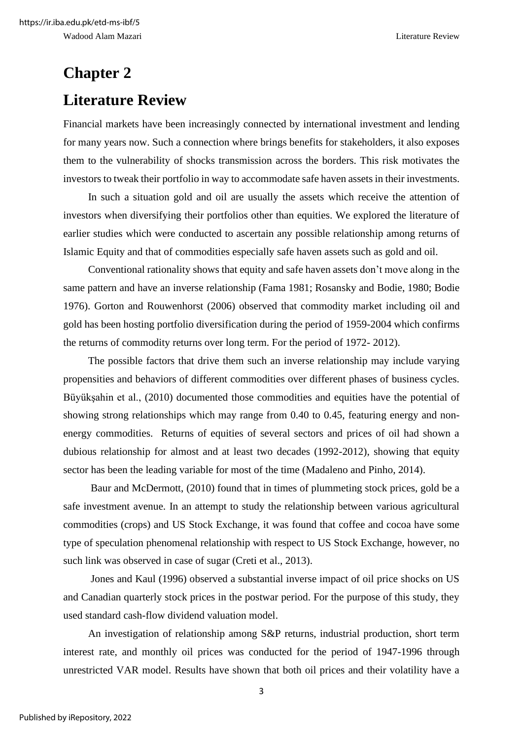# <span id="page-9-1"></span><span id="page-9-0"></span>**Chapter 2 Literature Review**

Financial markets have been increasingly connected by international investment and lending for many years now. Such a connection where brings benefits for stakeholders, it also exposes them to the vulnerability of shocks transmission across the borders. This risk motivates the investors to tweak their portfolio in way to accommodate safe haven assets in their investments.

In such a situation gold and oil are usually the assets which receive the attention of investors when diversifying their portfolios other than equities. We explored the literature of earlier studies which were conducted to ascertain any possible relationship among returns of Islamic Equity and that of commodities especially safe haven assets such as gold and oil.

Conventional rationality shows that equity and safe haven assets don't move along in the same pattern and have an inverse relationship (Fama 1981; Rosansky and Bodie, 1980; Bodie 1976). Gorton and Rouwenhorst (2006) observed that commodity market including oil and gold has been hosting portfolio diversification during the period of 1959-2004 which confirms the returns of commodity returns over long term. For the period of 1972- 2012).

The possible factors that drive them such an inverse relationship may include varying propensities and behaviors of different commodities over different phases of business cycles. Büyükşahin et al., (2010) documented those commodities and equities have the potential of showing strong relationships which may range from 0.40 to 0.45, featuring energy and nonenergy commodities. Returns of equities of several sectors and prices of oil had shown a dubious relationship for almost and at least two decades (1992-2012), showing that equity sector has been the leading variable for most of the time (Madaleno and Pinho, 2014).

Baur and McDermott, (2010) found that in times of plummeting stock prices, gold be a safe investment avenue. In an attempt to study the relationship between various agricultural commodities (crops) and US Stock Exchange, it was found that coffee and cocoa have some type of speculation phenomenal relationship with respect to US Stock Exchange, however, no such link was observed in case of sugar (Creti et al., 2013).

Jones and Kaul (1996) observed a substantial inverse impact of oil price shocks on US and Canadian quarterly stock prices in the postwar period. For the purpose of this study, they used standard cash-flow dividend valuation model.

An investigation of relationship among S&P returns, industrial production, short term interest rate, and monthly oil prices was conducted for the period of 1947-1996 through unrestricted VAR model. Results have shown that both oil prices and their volatility have a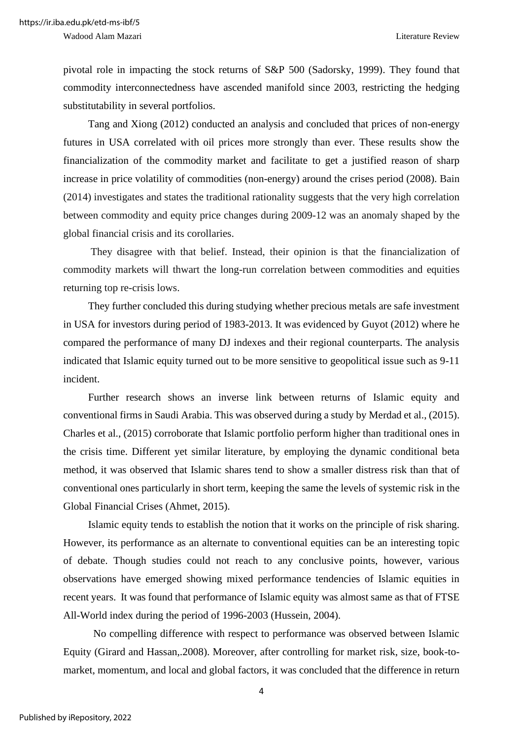pivotal role in impacting the stock returns of S&P 500 (Sadorsky, 1999). They found that commodity interconnectedness have ascended manifold since 2003, restricting the hedging substitutability in several portfolios.

Tang and Xiong (2012) conducted an analysis and concluded that prices of non-energy futures in USA correlated with oil prices more strongly than ever. These results show the financialization of the commodity market and facilitate to get a justified reason of sharp increase in price volatility of commodities (non-energy) around the crises period (2008). Bain (2014) investigates and states the traditional rationality suggests that the very high correlation between commodity and equity price changes during 2009-12 was an anomaly shaped by the global financial crisis and its corollaries.

They disagree with that belief. Instead, their opinion is that the financialization of commodity markets will thwart the long-run correlation between commodities and equities returning top re-crisis lows.

They further concluded this during studying whether precious metals are safe investment in USA for investors during period of 1983-2013. It was evidenced by Guyot (2012) where he compared the performance of many DJ indexes and their regional counterparts. The analysis indicated that Islamic equity turned out to be more sensitive to geopolitical issue such as 9-11 incident.

Further research shows an inverse link between returns of Islamic equity and conventional firms in Saudi Arabia. This was observed during a study by Merdad et al., (2015). Charles et al., (2015) corroborate that Islamic portfolio perform higher than traditional ones in the crisis time. Different yet similar literature, by employing the dynamic conditional beta method, it was observed that Islamic shares tend to show a smaller distress risk than that of conventional ones particularly in short term, keeping the same the levels of systemic risk in the Global Financial Crises (Ahmet, 2015).

Islamic equity tends to establish the notion that it works on the principle of risk sharing. However, its performance as an alternate to conventional equities can be an interesting topic of debate. Though studies could not reach to any conclusive points, however, various observations have emerged showing mixed performance tendencies of Islamic equities in recent years. It was found that performance of Islamic equity was almost same as that of FTSE All-World index during the period of 1996-2003 (Hussein, 2004).

No compelling difference with respect to performance was observed between Islamic Equity (Girard and Hassan,.2008). Moreover, after controlling for market risk, size, book-tomarket, momentum, and local and global factors, it was concluded that the difference in return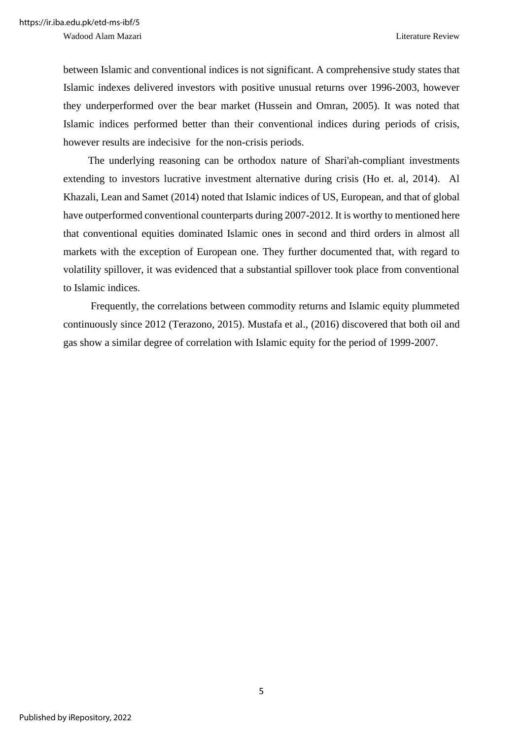Wadood Alam Mazari **Literature Review** Literature Review

between Islamic and conventional indices is not significant. A comprehensive study states that Islamic indexes delivered investors with positive unusual returns over 1996-2003, however they underperformed over the bear market (Hussein and Omran, 2005). It was noted that Islamic indices performed better than their conventional indices during periods of crisis, however results are indecisive for the non-crisis periods.

The underlying reasoning can be orthodox nature of Shari'ah-compliant investments extending to investors lucrative investment alternative during crisis (Ho et. al, 2014). Al Khazali, Lean and Samet (2014) noted that Islamic indices of US, European, and that of global have outperformed conventional counterparts during 2007-2012. It is worthy to mentioned here that conventional equities dominated Islamic ones in second and third orders in almost all markets with the exception of European one. They further documented that, with regard to volatility spillover, it was evidenced that a substantial spillover took place from conventional to Islamic indices.

Frequently, the correlations between commodity returns and Islamic equity plummeted continuously since 2012 (Terazono, 2015). Mustafa et al., (2016) discovered that both oil and gas show a similar degree of correlation with Islamic equity for the period of 1999-2007.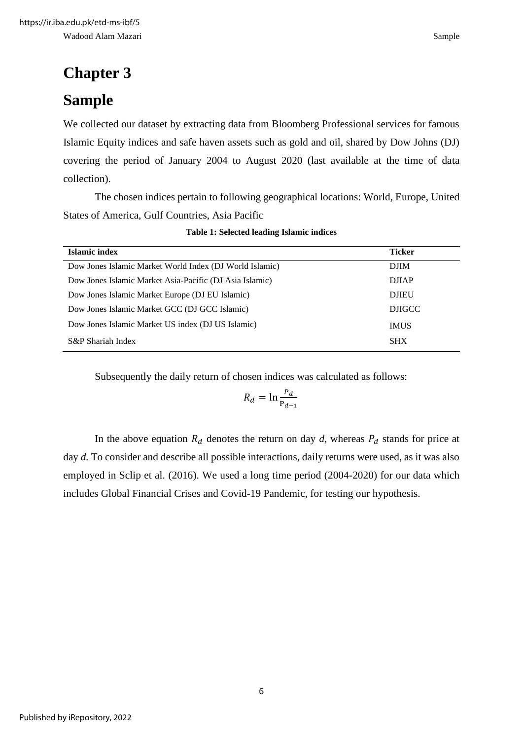# <span id="page-12-0"></span>**Chapter 3**

## <span id="page-12-1"></span>**Sample**

We collected our dataset by extracting data from Bloomberg Professional services for famous Islamic Equity indices and safe haven assets such as gold and oil, shared by Dow Johns (DJ) covering the period of January 2004 to August 2020 (last available at the time of data collection).

The chosen indices pertain to following geographical locations: World, Europe, United States of America, Gulf Countries, Asia Pacific

|  | Table 1: Selected leading Islamic indices |  |  |  |
|--|-------------------------------------------|--|--|--|
|--|-------------------------------------------|--|--|--|

<span id="page-12-2"></span>

| Islamic index                                           | <b>Ticker</b> |
|---------------------------------------------------------|---------------|
| Dow Jones Islamic Market World Index (DJ World Islamic) | <b>DJIM</b>   |
| Dow Jones Islamic Market Asia-Pacific (DJ Asia Islamic) | <b>DJIAP</b>  |
| Dow Jones Islamic Market Europe (DJ EU Islamic)         | <b>DJIEU</b>  |
| Dow Jones Islamic Market GCC (DJ GCC Islamic)           | <b>DJIGCC</b> |
| Dow Jones Islamic Market US index (DJ US Islamic)       | <b>IMUS</b>   |
| S&P Shariah Index                                       | <b>SHX</b>    |

Subsequently the daily return of chosen indices was calculated as follows:

$$
R_d = \ln \frac{P_d}{P_{d-1}}
$$

In the above equation  $R_d$  denotes the return on day d, whereas  $P_d$  stands for price at day *d*. To consider and describe all possible interactions, daily returns were used, as it was also employed in Sclip et al. (2016). We used a long time period (2004-2020) for our data which includes Global Financial Crises and Covid-19 Pandemic, for testing our hypothesis.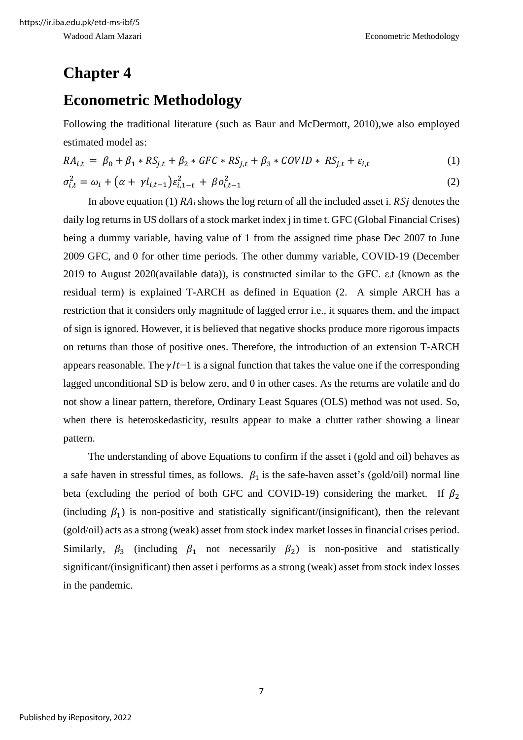### <span id="page-13-0"></span>**Chapter 4**

### <span id="page-13-1"></span>**Econometric Methodology**

Following the traditional literature (such as Baur and McDermott, 2010),we also employed estimated model as:

$$
RA_{i,t} = \beta_0 + \beta_1 * RS_{j,t} + \beta_2 * GFC * RS_{j,t} + \beta_3 * COVID * RS_{j,t} + \varepsilon_{i,t}
$$
\n
$$
\tag{1}
$$

$$
\sigma_{i,t}^2 = \omega_i + \left(\alpha + \gamma l_{i,t-1}\right) \varepsilon_{i,1-t}^2 + \beta o_{i,t-1}^2 \tag{2}
$$

In above equation (1)  $RA_i$  shows the log return of all the included asset i.  $RSj$  denotes the daily log returns in US dollars of a stock market index j in time t. GFC (Global Financial Crises) being a dummy variable, having value of 1 from the assigned time phase Dec 2007 to June 2009 GFC, and 0 for other time periods. The other dummy variable, COVID-19 (December 2019 to August 2020(available data)), is constructed similar to the GFC. εit (known as the residual term) is explained T-ARCH as defined in Equation (2. A simple ARCH has a restriction that it considers only magnitude of lagged error i.e., it squares them, and the impact of sign is ignored. However, it is believed that negative shocks produce more rigorous impacts on returns than those of positive ones. Therefore, the introduction of an extension T-ARCH appears reasonable. The  $\gamma l t-1$  is a signal function that takes the value one if the corresponding lagged unconditional SD is below zero, and 0 in other cases. As the returns are volatile and do not show a linear pattern, therefore, Ordinary Least Squares (OLS) method was not used. So, when there is heteroskedasticity, results appear to make a clutter rather showing a linear pattern.

The understanding of above Equations to confirm if the asset i (gold and oil) behaves as a safe haven in stressful times, as follows.  $\beta_1$  is the safe-haven asset's (gold/oil) normal line beta (excluding the period of both GFC and COVID-19) considering the market. If  $\beta_2$ (including  $\beta_1$ ) is non-positive and statistically significant/(insignificant), then the relevant (gold/oil) acts as a strong (weak) asset from stock index market losses in financial crises period. Similarly,  $\beta_3$  (including  $\beta_1$  not necessarily  $\beta_2$ ) is non-positive and statistically significant/(insignificant) then asset i performs as a strong (weak) asset from stock index losses in the pandemic.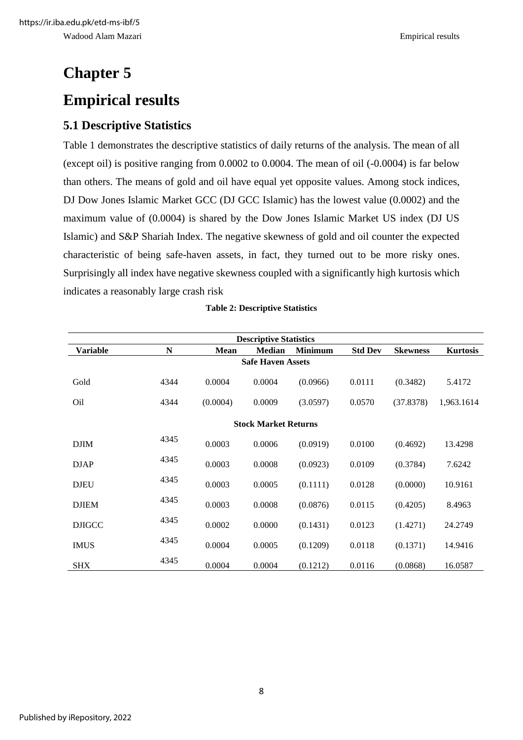# <span id="page-14-1"></span><span id="page-14-0"></span>**Chapter 5 Empirical results**

#### <span id="page-14-2"></span>**5.1 Descriptive Statistics**

Table 1 demonstrates the descriptive statistics of daily returns of the analysis. The mean of all (except oil) is positive ranging from 0.0002 to 0.0004. The mean of oil (-0.0004) is far below than others. The means of gold and oil have equal yet opposite values. Among stock indices, DJ Dow Jones Islamic Market GCC (DJ GCC Islamic) has the lowest value (0.0002) and the maximum value of (0.0004) is shared by the Dow Jones Islamic Market US index (DJ US Islamic) and S&P Shariah Index. The negative skewness of gold and oil counter the expected characteristic of being safe-haven assets, in fact, they turned out to be more risky ones. Surprisingly all index have negative skewness coupled with a significantly high kurtosis which indicates a reasonably large crash risk

<span id="page-14-3"></span>

| <b>Descriptive Statistics</b> |      |             |                             |                |                |                 |                 |  |  |
|-------------------------------|------|-------------|-----------------------------|----------------|----------------|-----------------|-----------------|--|--|
| <b>Variable</b>               | N    | <b>Mean</b> | <b>Median</b>               | <b>Minimum</b> | <b>Std Dev</b> | <b>Skewness</b> | <b>Kurtosis</b> |  |  |
|                               |      |             | <b>Safe Haven Assets</b>    |                |                |                 |                 |  |  |
| Gold                          | 4344 | 0.0004      | 0.0004                      | (0.0966)       | 0.0111         | (0.3482)        | 5.4172          |  |  |
| O <sub>il</sub>               | 4344 | (0.0004)    | 0.0009                      | (3.0597)       | 0.0570         | (37.8378)       | 1,963.1614      |  |  |
|                               |      |             | <b>Stock Market Returns</b> |                |                |                 |                 |  |  |
| <b>DJIM</b>                   | 4345 | 0.0003      | 0.0006                      | (0.0919)       | 0.0100         | (0.4692)        | 13.4298         |  |  |
| <b>DJAP</b>                   | 4345 | 0.0003      | 0.0008                      | (0.0923)       | 0.0109         | (0.3784)        | 7.6242          |  |  |
| <b>DJEU</b>                   | 4345 | 0.0003      | 0.0005                      | (0.1111)       | 0.0128         | (0.0000)        | 10.9161         |  |  |
| <b>DJIEM</b>                  | 4345 | 0.0003      | 0.0008                      | (0.0876)       | 0.0115         | (0.4205)        | 8.4963          |  |  |
| <b>DJIGCC</b>                 | 4345 | 0.0002      | 0.0000                      | (0.1431)       | 0.0123         | (1.4271)        | 24.2749         |  |  |
| <b>IMUS</b>                   | 4345 | 0.0004      | 0.0005                      | (0.1209)       | 0.0118         | (0.1371)        | 14.9416         |  |  |
| <b>SHX</b>                    | 4345 | 0.0004      | 0.0004                      | (0.1212)       | 0.0116         | (0.0868)        | 16.0587         |  |  |

#### **Table 2: Descriptive Statistics**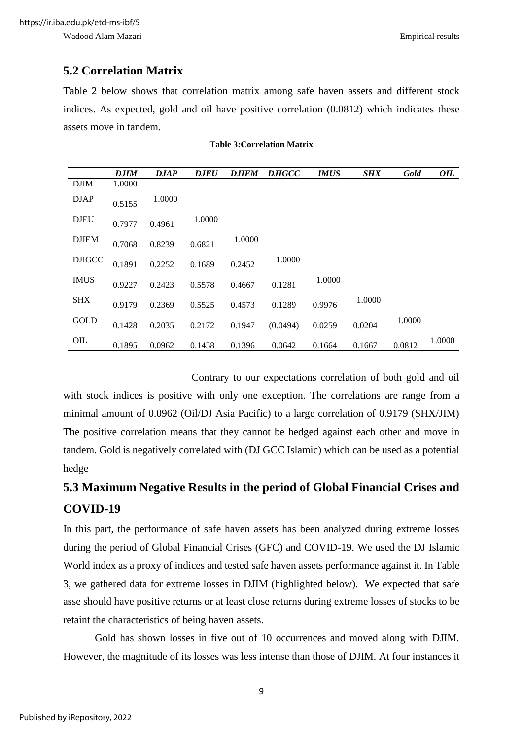#### <span id="page-15-0"></span>**5.2 Correlation Matrix**

Table 2 below shows that correlation matrix among safe haven assets and different stock indices. As expected, gold and oil have positive correlation (0.0812) which indicates these assets move in tandem.

<span id="page-15-2"></span>

|               | <b>DJIM</b> | DJAP   | <b>DJEU</b> | <b>D.JIEM</b> | <i>DJIGCC</i> | <b>IMUS</b> | <b>SHX</b> | Gold   | OIL    |
|---------------|-------------|--------|-------------|---------------|---------------|-------------|------------|--------|--------|
| <b>DJIM</b>   | 1.0000      |        |             |               |               |             |            |        |        |
| <b>DJAP</b>   | 0.5155      | 1.0000 |             |               |               |             |            |        |        |
| <b>DJEU</b>   | 0.7977      | 0.4961 | 1.0000      |               |               |             |            |        |        |
| <b>DJIEM</b>  | 0.7068      | 0.8239 | 0.6821      | 1.0000        |               |             |            |        |        |
| <b>DJIGCC</b> | 0.1891      | 0.2252 | 0.1689      | 0.2452        | 1.0000        |             |            |        |        |
| <b>IMUS</b>   | 0.9227      | 0.2423 | 0.5578      | 0.4667        | 0.1281        | 1.0000      |            |        |        |
| <b>SHX</b>    | 0.9179      | 0.2369 | 0.5525      | 0.4573        | 0.1289        | 0.9976      | 1.0000     |        |        |
| <b>GOLD</b>   | 0.1428      | 0.2035 | 0.2172      | 0.1947        | (0.0494)      | 0.0259      | 0.0204     | 1.0000 |        |
| OIL           | 0.1895      | 0.0962 | 0.1458      | 0.1396        | 0.0642        | 0.1664      | 0.1667     | 0.0812 | 1.0000 |

#### **Table 3:Correlation Matrix**

Contrary to our expectations correlation of both gold and oil with stock indices is positive with only one exception. The correlations are range from a minimal amount of 0.0962 (Oil/DJ Asia Pacific) to a large correlation of 0.9179 (SHX/JIM) The positive correlation means that they cannot be hedged against each other and move in tandem. Gold is negatively correlated with (DJ GCC Islamic) which can be used as a potential

### <span id="page-15-1"></span>**5.3 Maximum Negative Results in the period of Global Financial Crises and COVID-19**

In this part, the performance of safe haven assets has been analyzed during extreme losses during the period of Global Financial Crises (GFC) and COVID-19. We used the DJ Islamic World index as a proxy of indices and tested safe haven assets performance against it. In Table 3, we gathered data for extreme losses in DJIM (highlighted below). We expected that safe asse should have positive returns or at least close returns during extreme losses of stocks to be retaint the characteristics of being haven assets.

Gold has shown losses in five out of 10 occurrences and moved along with DJIM. However, the magnitude of its losses was less intense than those of DJIM. At four instances it

hedge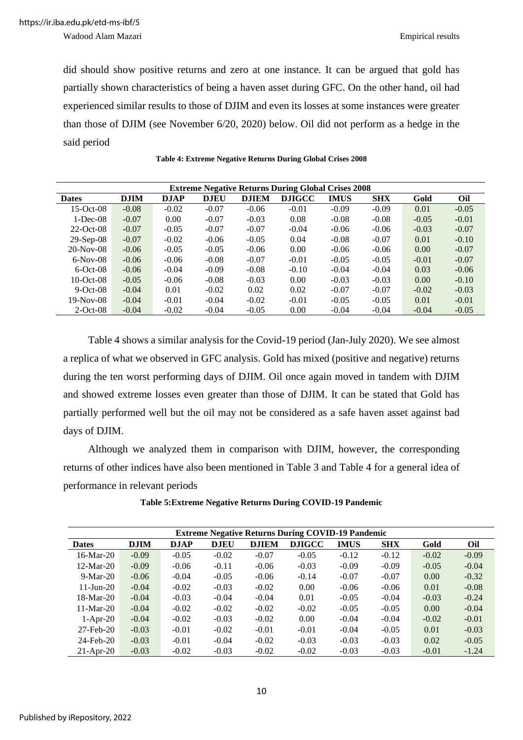Wadood Alam Mazari Empirical results

did should show positive returns and zero at one instance. It can be argued that gold has partially shown characteristics of being a haven asset during GFC. On the other hand, oil had experienced similar results to those of DJIM and even its losses at some instances were greater than those of DJIM (see November 6/20, 2020) below. Oil did not perform as a hedge in the said period

<span id="page-16-0"></span>

| <b>Extreme Negative Returns During Global Crises 2008</b> |             |             |             |              |               |             |            |         |         |  |
|-----------------------------------------------------------|-------------|-------------|-------------|--------------|---------------|-------------|------------|---------|---------|--|
| <b>Dates</b>                                              | <b>DJIM</b> | <b>DJAP</b> | <b>DJEU</b> | <b>D.HEM</b> | <b>DJIGCC</b> | <b>IMUS</b> | <b>SHX</b> | Gold    | Oil     |  |
| $15$ -Oct-08                                              | $-0.08$     | $-0.02$     | $-0.07$     | $-0.06$      | $-0.01$       | $-0.09$     | $-0.09$    | 0.01    | $-0.05$ |  |
| $1-Dec-08$                                                | $-0.07$     | 0.00        | $-0.07$     | $-0.03$      | 0.08          | $-0.08$     | $-0.08$    | $-0.05$ | $-0.01$ |  |
| $22$ -Oct-08                                              | $-0.07$     | $-0.05$     | $-0.07$     | $-0.07$      | $-0.04$       | $-0.06$     | $-0.06$    | $-0.03$ | $-0.07$ |  |
| $29-Sep-08$                                               | $-0.07$     | $-0.02$     | $-0.06$     | $-0.05$      | 0.04          | $-0.08$     | $-0.07$    | 0.01    | $-0.10$ |  |
| $20-Nov-08$                                               | $-0.06$     | $-0.05$     | $-0.05$     | $-0.06$      | 0.00          | $-0.06$     | $-0.06$    | 0.00    | $-0.07$ |  |
| $6-Nov-08$                                                | $-0.06$     | $-0.06$     | $-0.08$     | $-0.07$      | $-0.01$       | $-0.05$     | $-0.05$    | $-0.01$ | $-0.07$ |  |
| $6-Oct-08$                                                | $-0.06$     | $-0.04$     | $-0.09$     | $-0.08$      | $-0.10$       | $-0.04$     | $-0.04$    | 0.03    | $-0.06$ |  |
| $10$ -Oct-08                                              | $-0.05$     | $-0.06$     | $-0.08$     | $-0.03$      | 0.00          | $-0.03$     | $-0.03$    | 0.00    | $-0.10$ |  |
| $9-Oct-08$                                                | $-0.04$     | 0.01        | $-0.02$     | 0.02         | 0.02          | $-0.07$     | $-0.07$    | $-0.02$ | $-0.03$ |  |
| $19-Nov-08$                                               | $-0.04$     | $-0.01$     | $-0.04$     | $-0.02$      | $-0.01$       | $-0.05$     | $-0.05$    | 0.01    | $-0.01$ |  |
| $2$ -Oct-08                                               | $-0.04$     | $-0.02$     | $-0.04$     | $-0.05$      | 0.00          | $-0.04$     | $-0.04$    | $-0.04$ | $-0.05$ |  |

**Table 4: Extreme Negative Returns During Global Crises 2008**

Table 4 shows a similar analysis for the Covid-19 period (Jan-July 2020). We see almost a replica of what we observed in GFC analysis. Gold has mixed (positive and negative) returns during the ten worst performing days of DJIM. Oil once again moved in tandem with DJIM and showed extreme losses even greater than those of DJIM. It can be stated that Gold has partially performed well but the oil may not be considered as a safe haven asset against bad days of DJIM.

Although we analyzed them in comparison with DJIM, however, the corresponding returns of other indices have also been mentioned in Table 3 and Table 4 for a general idea of performance in relevant periods

<span id="page-16-1"></span>

| <b>Extreme Negative Returns During COVID-19 Pandemic</b> |             |             |             |              |               |             |            |         |         |  |
|----------------------------------------------------------|-------------|-------------|-------------|--------------|---------------|-------------|------------|---------|---------|--|
| <b>Dates</b>                                             | <b>DJIM</b> | <b>DJAP</b> | <b>DJEU</b> | <b>DJIEM</b> | <b>DJIGCC</b> | <b>IMUS</b> | <b>SHX</b> | Gold    | Oil     |  |
| $16-Mar-20$                                              | $-0.09$     | $-0.05$     | $-0.02$     | $-0.07$      | $-0.05$       | $-0.12$     | $-0.12$    | $-0.02$ | $-0.09$ |  |
| $12-Mar-20$                                              | $-0.09$     | $-0.06$     | $-0.11$     | $-0.06$      | $-0.03$       | $-0.09$     | $-0.09$    | $-0.05$ | $-0.04$ |  |
| $9-Mar-20$                                               | $-0.06$     | $-0.04$     | $-0.05$     | $-0.06$      | $-0.14$       | $-0.07$     | $-0.07$    | 0.00    | $-0.32$ |  |
| $11$ -Jun-20                                             | $-0.04$     | $-0.02$     | $-0.03$     | $-0.02$      | 0.00          | $-0.06$     | $-0.06$    | 0.01    | $-0.08$ |  |
| $18-Mar-20$                                              | $-0.04$     | $-0.03$     | $-0.04$     | $-0.04$      | 0.01          | $-0.05$     | $-0.04$    | $-0.03$ | $-0.24$ |  |
| $11-Mar-20$                                              | $-0.04$     | $-0.02$     | $-0.02$     | $-0.02$      | $-0.02$       | $-0.05$     | $-0.05$    | 0.00    | $-0.04$ |  |
| $1-Apr-20$                                               | $-0.04$     | $-0.02$     | $-0.03$     | $-0.02$      | 0.00          | $-0.04$     | $-0.04$    | $-0.02$ | $-0.01$ |  |
| $27$ -Feb- $20$                                          | $-0.03$     | $-0.01$     | $-0.02$     | $-0.01$      | $-0.01$       | $-0.04$     | $-0.05$    | 0.01    | $-0.03$ |  |
| $24$ -Feb- $20$                                          | $-0.03$     | $-0.01$     | $-0.04$     | $-0.02$      | $-0.03$       | $-0.03$     | $-0.03$    | 0.02    | $-0.05$ |  |
| $21-Apr-20$                                              | $-0.03$     | $-0.02$     | $-0.03$     | $-0.02$      | $-0.02$       | $-0.03$     | $-0.03$    | $-0.01$ | $-1.24$ |  |

**Table 5:Extreme Negative Returns During COVID-19 Pandemic**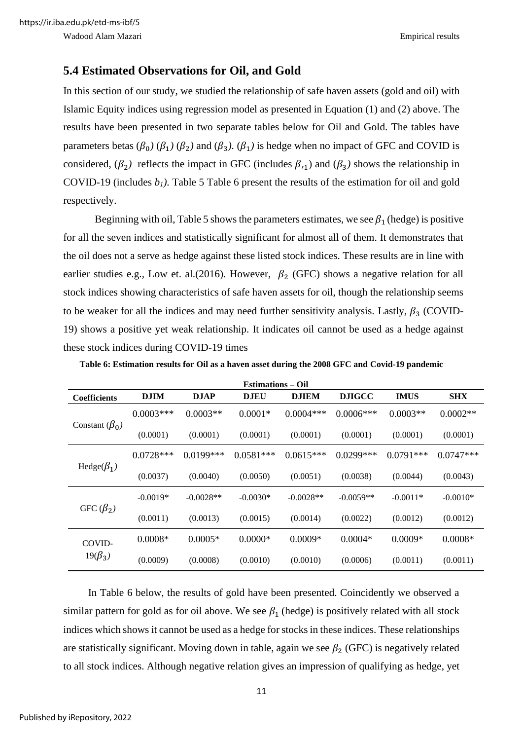#### <span id="page-17-0"></span>**5.4 Estimated Observations for Oil, and Gold**

In this section of our study, we studied the relationship of safe haven assets (gold and oil) with Islamic Equity indices using regression model as presented in Equation (1) and (2) above. The results have been presented in two separate tables below for Oil and Gold. The tables have parameters betas ( $\beta_0$ ) ( $\beta_1$ ) ( $\beta_2$ ) and ( $\beta_3$ ). ( $\beta_1$ ) is hedge when no impact of GFC and COVID is considered,  $(\beta_2)$  reflects the impact in GFC (includes  $\beta_{11}$ ) and  $(\beta_3)$  shows the relationship in COVID-19 (includes  $b_1$ ). Table 5 Table 6 present the results of the estimation for oil and gold respectively.

Beginning with oil, Table 5 shows the parameters estimates, we see  $\beta_1$  (hedge) is positive for all the seven indices and statistically significant for almost all of them. It demonstrates that the oil does not a serve as hedge against these listed stock indices. These results are in line with earlier studies e.g., Low et. al.(2016). However,  $\beta_2$  (GFC) shows a negative relation for all stock indices showing characteristics of safe haven assets for oil, though the relationship seems to be weaker for all the indices and may need further sensitivity analysis. Lastly,  $\beta_3$  (COVID-19) shows a positive yet weak relationship. It indicates oil cannot be used as a hedge against these stock indices during COVID-19 times

| <b>Estimations – Oil</b> |             |             |             |              |               |             |             |  |  |  |
|--------------------------|-------------|-------------|-------------|--------------|---------------|-------------|-------------|--|--|--|
| <b>Coefficients</b>      | <b>DJIM</b> | <b>DJAP</b> | <b>DJEU</b> | <b>DJIEM</b> | <b>DJIGCC</b> | <b>IMUS</b> | <b>SHX</b>  |  |  |  |
| Constant $(\beta_0)$     | $0.0003***$ | $0.0003**$  | $0.0001*$   | $0.0004***$  | $0.0006***$   | $0.0003**$  | $0.0002**$  |  |  |  |
|                          | (0.0001)    | (0.0001)    | (0.0001)    | (0.0001)     | (0.0001)      | (0.0001)    | (0.0001)    |  |  |  |
| Hedge( $\beta_1$ )       | $0.0728***$ | $0.0199***$ | $0.0581***$ | $0.0615***$  | $0.0299***$   | $0.0791***$ | $0.0747***$ |  |  |  |
|                          | (0.0037)    | (0.0040)    | (0.0050)    | (0.0051)     | (0.0038)      | (0.0044)    | (0.0043)    |  |  |  |
| GFC $(\beta_2)$          | $-0.0019*$  | $-0.0028**$ | $-0.0030*$  | $-0.0028**$  | $-0.0059**$   | $-0.0011*$  | $-0.0010*$  |  |  |  |
|                          | (0.0011)    | (0.0013)    | (0.0015)    | (0.0014)     | (0.0022)      | (0.0012)    | (0.0012)    |  |  |  |
| COVID-<br>$19(\beta_3)$  | $0.0008*$   | $0.0005*$   | $0.0000*$   | $0.0009*$    | $0.0004*$     | $0.0009*$   | $0.0008*$   |  |  |  |
|                          | (0.0009)    | (0.0008)    | (0.0010)    | (0.0010)     | (0.0006)      | (0.0011)    | (0.0011)    |  |  |  |

<span id="page-17-1"></span>**Table 6: Estimation results for Oil as a haven asset during the 2008 GFC and Covid-19 pandemic**

In Table 6 below, the results of gold have been presented. Coincidently we observed a similar pattern for gold as for oil above. We see  $\beta_1$  (hedge) is positively related with all stock indices which shows it cannot be used as a hedge for stocks in these indices. These relationships are statistically significant. Moving down in table, again we see  $\beta_2$  (GFC) is negatively related to all stock indices. Although negative relation gives an impression of qualifying as hedge, yet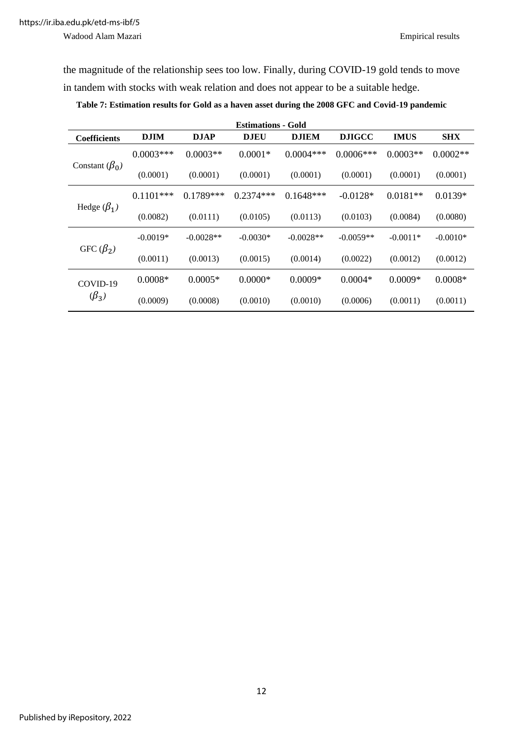Wadood Alam Mazari Empirical results

the magnitude of the relationship sees too low. Finally, during COVID-19 gold tends to move in tandem with stocks with weak relation and does not appear to be a suitable hedge.

<span id="page-18-0"></span>**Table 7: Estimation results for Gold as a haven asset during the 2008 GFC and Covid-19 pandemic**

| <b>Estimations - Gold</b> |              |             |             |              |               |             |            |  |  |  |
|---------------------------|--------------|-------------|-------------|--------------|---------------|-------------|------------|--|--|--|
| Coefficients              | <b>DJIM</b>  | <b>DJAP</b> | <b>DJEU</b> | <b>DJIEM</b> | <b>DJIGCC</b> | <b>IMUS</b> | <b>SHX</b> |  |  |  |
| Constant $(\beta_0)$      | $0.0003***$  | $0.0003**$  | $0.0001*$   | $0.0004***$  | $0.0006***$   | $0.0003**$  | $0.0002**$ |  |  |  |
|                           | (0.0001)     | (0.0001)    | (0.0001)    | (0.0001)     | (0.0001)      | (0.0001)    | (0.0001)   |  |  |  |
| Hedge $(\beta_1)$         | $0.1101$ *** | $0.1789***$ | $0.2374***$ | $0.1648***$  | $-0.0128*$    | $0.0181**$  | $0.0139*$  |  |  |  |
|                           | (0.0082)     | (0.0111)    | (0.0105)    | (0.0113)     | (0.0103)      | (0.0084)    | (0.0080)   |  |  |  |
| GFC $(\beta_2)$           | $-0.0019*$   | $-0.0028**$ | $-0.0030*$  | $-0.0028**$  | $-0.0059**$   | $-0.0011*$  | $-0.0010*$ |  |  |  |
|                           | (0.0011)     | (0.0013)    | (0.0015)    | (0.0014)     | (0.0022)      | (0.0012)    | (0.0012)   |  |  |  |
| COVID-19<br>$(\beta_3)$   | $0.0008*$    | $0.0005*$   | $0.0000*$   | $0.0009*$    | $0.0004*$     | $0.0009*$   | $0.0008*$  |  |  |  |
|                           | (0.0009)     | (0.0008)    | (0.0010)    | (0.0010)     | (0.0006)      | (0.0011)    | (0.0011)   |  |  |  |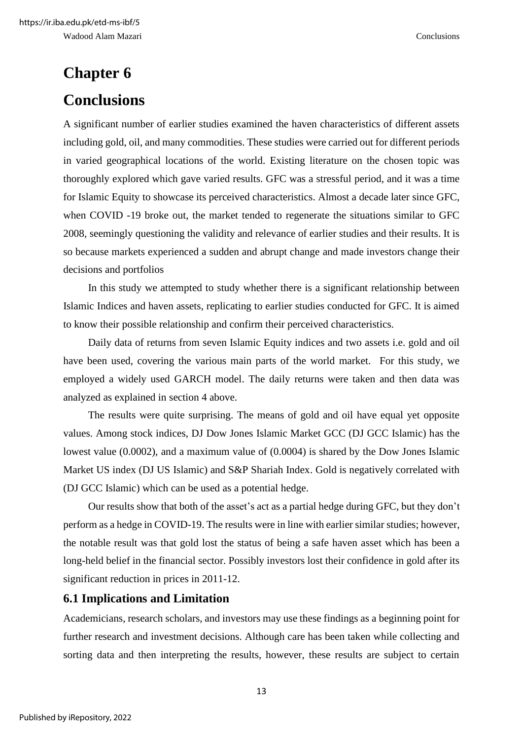# <span id="page-19-1"></span><span id="page-19-0"></span>**Chapter 6 Conclusions**

A significant number of earlier studies examined the haven characteristics of different assets including gold, oil, and many commodities. These studies were carried out for different periods in varied geographical locations of the world. Existing literature on the chosen topic was thoroughly explored which gave varied results. GFC was a stressful period, and it was a time for Islamic Equity to showcase its perceived characteristics. Almost a decade later since GFC, when COVID -19 broke out, the market tended to regenerate the situations similar to GFC 2008, seemingly questioning the validity and relevance of earlier studies and their results. It is so because markets experienced a sudden and abrupt change and made investors change their decisions and portfolios

In this study we attempted to study whether there is a significant relationship between Islamic Indices and haven assets, replicating to earlier studies conducted for GFC. It is aimed to know their possible relationship and confirm their perceived characteristics.

Daily data of returns from seven Islamic Equity indices and two assets i.e. gold and oil have been used, covering the various main parts of the world market. For this study, we employed a widely used GARCH model. The daily returns were taken and then data was analyzed as explained in section 4 above.

The results were quite surprising. The means of gold and oil have equal yet opposite values. Among stock indices, DJ Dow Jones Islamic Market GCC (DJ GCC Islamic) has the lowest value (0.0002), and a maximum value of (0.0004) is shared by the Dow Jones Islamic Market US index (DJ US Islamic) and S&P Shariah Index. Gold is negatively correlated with (DJ GCC Islamic) which can be used as a potential hedge.

Our results show that both of the asset's act as a partial hedge during GFC, but they don't perform as a hedge in COVID-19. The results were in line with earlier similar studies; however, the notable result was that gold lost the status of being a safe haven asset which has been a long-held belief in the financial sector. Possibly investors lost their confidence in gold after its significant reduction in prices in 2011-12.

#### <span id="page-19-2"></span>**6.1 Implications and Limitation**

Academicians, research scholars, and investors may use these findings as a beginning point for further research and investment decisions. Although care has been taken while collecting and sorting data and then interpreting the results, however, these results are subject to certain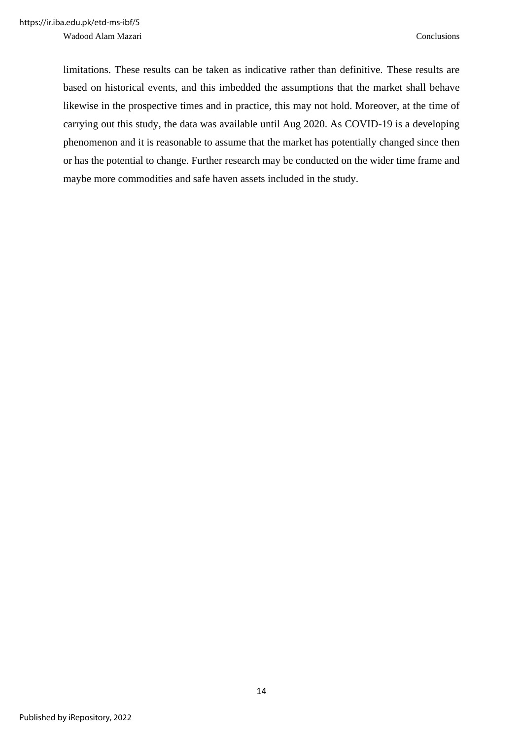Wadood Alam Mazari Conclusions

limitations. These results can be taken as indicative rather than definitive. These results are based on historical events, and this imbedded the assumptions that the market shall behave likewise in the prospective times and in practice, this may not hold. Moreover, at the time of carrying out this study, the data was available until Aug 2020. As COVID-19 is a developing phenomenon and it is reasonable to assume that the market has potentially changed since then or has the potential to change. Further research may be conducted on the wider time frame and maybe more commodities and safe haven assets included in the study.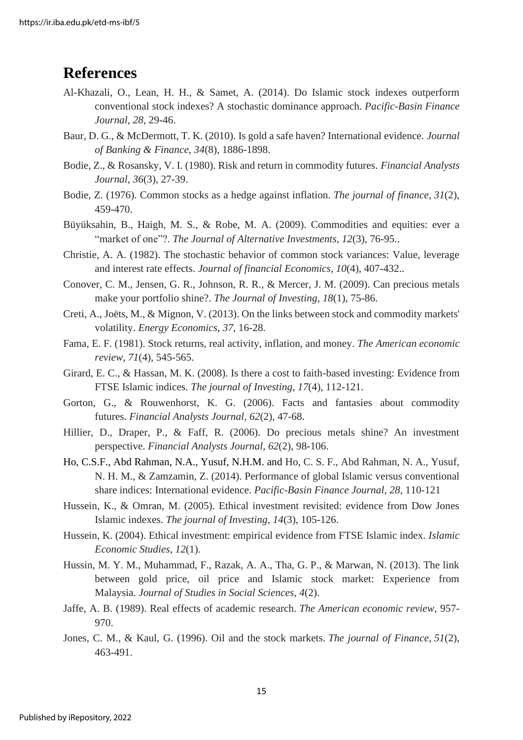### <span id="page-21-0"></span>**References**

- Al-Khazali, O., Lean, H. H., & Samet, A. (2014). Do Islamic stock indexes outperform conventional stock indexes? A stochastic dominance approach. *Pacific-Basin Finance Journal*, *28*, 29-46.
- Baur, D. G., & McDermott, T. K. (2010). Is gold a safe haven? International evidence. *Journal of Banking & Finance*, *34*(8), 1886-1898.
- Bodie, Z., & Rosansky, V. I. (1980). Risk and return in commodity futures. *Financial Analysts Journal*, *36*(3), 27-39.
- Bodie, Z. (1976). Common stocks as a hedge against inflation. *The journal of finance*, *31*(2), 459-470.
- Büyüksahin, B., Haigh, M. S., & Robe, M. A. (2009). Commodities and equities: ever a "market of one"?. *The Journal of Alternative Investments*, *12*(3), 76-95..
- Christie, A. A. (1982). The stochastic behavior of common stock variances: Value, leverage and interest rate effects. *Journal of financial Economics*, *10*(4), 407-432..
- Conover, C. M., Jensen, G. R., Johnson, R. R., & Mercer, J. M. (2009). Can precious metals make your portfolio shine?. *The Journal of Investing*, *18*(1), 75-86.
- Creti, A., Joëts, M., & Mignon, V. (2013). On the links between stock and commodity markets' volatility. *Energy Economics*, *37*, 16-28.
- Fama, E. F. (1981). Stock returns, real activity, inflation, and money. *The American economic review*, *71*(4), 545-565.
- Girard, E. C., & Hassan, M. K. (2008). Is there a cost to faith-based investing: Evidence from FTSE Islamic indices. *The journal of Investing*, *17*(4), 112-121.
- Gorton, G., & Rouwenhorst, K. G. (2006). Facts and fantasies about commodity futures. *Financial Analysts Journal*, *62*(2), 47-68.
- Hillier, D., Draper, P., & Faff, R. (2006). Do precious metals shine? An investment perspective. *Financial Analysts Journal*, *62*(2), 98-106.
- Ho, C.S.F., Abd Rahman, N.A., Yusuf, N.H.M. and Ho, C. S. F., Abd Rahman, N. A., Yusuf, N. H. M., & Zamzamin, Z. (2014). Performance of global Islamic versus conventional share indices: International evidence. *Pacific-Basin Finance Journal*, *28*, 110-121
- Hussein, K., & Omran, M. (2005). Ethical investment revisited: evidence from Dow Jones Islamic indexes. *The journal of Investing*, *14*(3), 105-126.
- Hussein, K. (2004). Ethical investment: empirical evidence from FTSE Islamic index. *Islamic Economic Studies*, *12*(1).
- Hussin, M. Y. M., Muhammad, F., Razak, A. A., Tha, G. P., & Marwan, N. (2013). The link between gold price, oil price and Islamic stock market: Experience from Malaysia. *Journal of Studies in Social Sciences*, *4*(2).
- Jaffe, A. B. (1989). Real effects of academic research. *The American economic review*, 957- 970.
- Jones, C. M., & Kaul, G. (1996). Oil and the stock markets. *The journal of Finance*, *51*(2), 463-491.